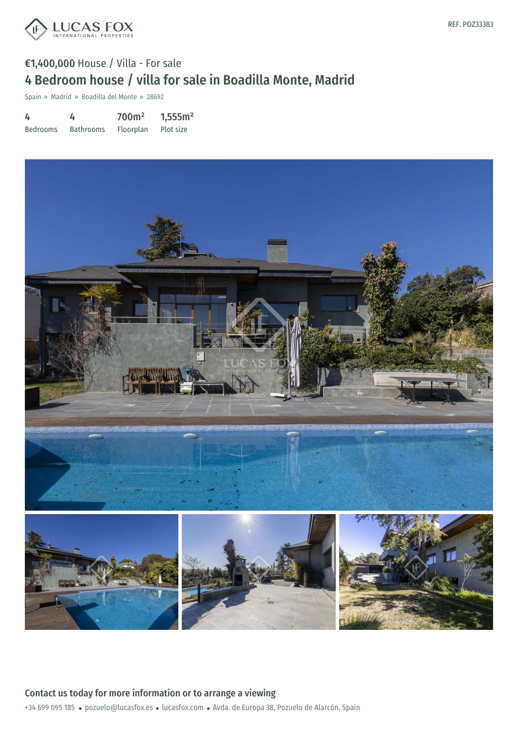

Spain » Madrid » Boadilla del Monte » 28692

| 4               | 4                | 700 <sup>m²</sup> | 1,555m <sup>2</sup> |
|-----------------|------------------|-------------------|---------------------|
| <b>Bedrooms</b> | <b>Bathrooms</b> | Floorplan         | Plot size           |



+34 699 095 185 · pozuelo@lucasfox.es · lucasfox.com · Avda. de Europa 38, Pozuelo de Alarcón, Spain Contact us today for more information or to arrange a viewing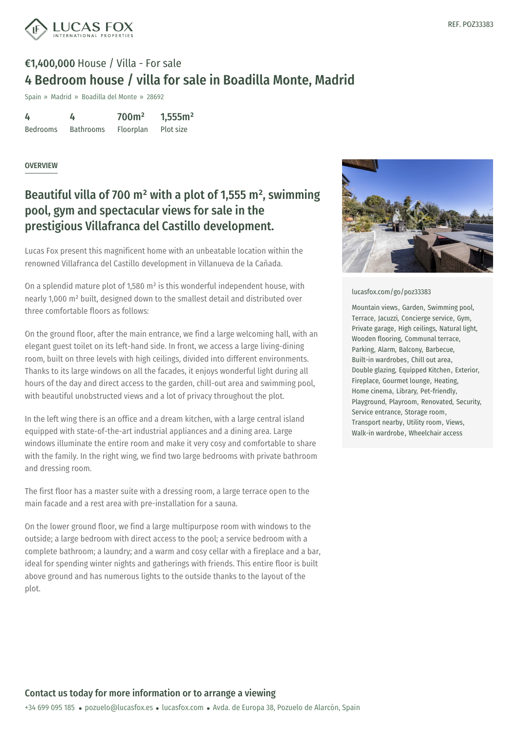

Spain » Madrid » Boadilla del Monte » 28692

| 4               | 4                | 700 <sup>m²</sup> | 1,555m <sup>2</sup> |
|-----------------|------------------|-------------------|---------------------|
| <b>Bedrooms</b> | <b>Bathrooms</b> | Floorplan         | Plot size           |

#### **OVERVIEW**

### Beautiful villa of 700  $m^2$  with a plot of 1,555  $m^2$ , swimming pool, gym and spectacular views for sale in the prestigious Villafranca del Castillo development.

Lucas Fox present this magnificent home with an unbeatable location within the renowned Villafranca del Castillo development in Villanueva de la Cañada.

On a splendid mature plot of 1,580 m² is this wonderful independent house, with nearly 1,000 m² built, designed down to the smallest detail and distributed over three comfortable floors as follows:

On the ground floor, after the main entrance, we find a large welcoming hall, with an elegant guest toilet on its left-hand side. In front, we access a large living-dining room, built on three levels with high ceilings, divided into different environments. Thanks to its large windows on all the facades, it enjoys wonderful light during all hours of the day and direct access to the garden, chill-out area and swimming pool, with beautiful unobstructed views and a lot of privacy throughout the plot.

In the left wing there is an office and a dream kitchen, with a large central island equipped with state-of-the-art industrial appliances and a dining area. Large windows illuminate the entire room and make it very cosy and comfortable to share with the family. In the right wing, we find two large bedrooms with private bathroom and dressing room.

The first floor has a master suite with a dressing room, a large terrace open to the main facade and a rest area with pre-installation for a sauna.

On the lower ground floor, we find a large multipurpose room with windows to the outside; a large bedroom with direct access to the pool; a service bedroom with a complete bathroom; a [laundry;](mailto:pozuelo@lucasfox.es) and a warm [and](https://www.lucasfox.com) cosy cellar with a fireplace and a bar, ideal for spending winter nights and gatherings with friends. This entire floor is built above ground and has numerous lights to the outside thanks to the layout of the plot.



#### [lucasfox.com/go/poz33383](https://www.lucasfox.com/go/poz33383)

Mountain views, Garden, Swimming pool, Terrace, Jacuzzi, Concierge service, Gym, Private garage, High ceilings, Natural light, Wooden flooring, Communal terrace, Parking, Alarm, Balcony, Barbecue, Built-in wardrobes, Chill out area, Double glazing, Equipped Kitchen, Exterior, Fireplace, Gourmet lounge, Heating, Home cinema, Library, Pet-friendly, Playground, Playroom, Renovated, Security, Service entrance, Storage room, Transport nearby, Utility room, Views, Walk-in wardrobe, Wheelchair access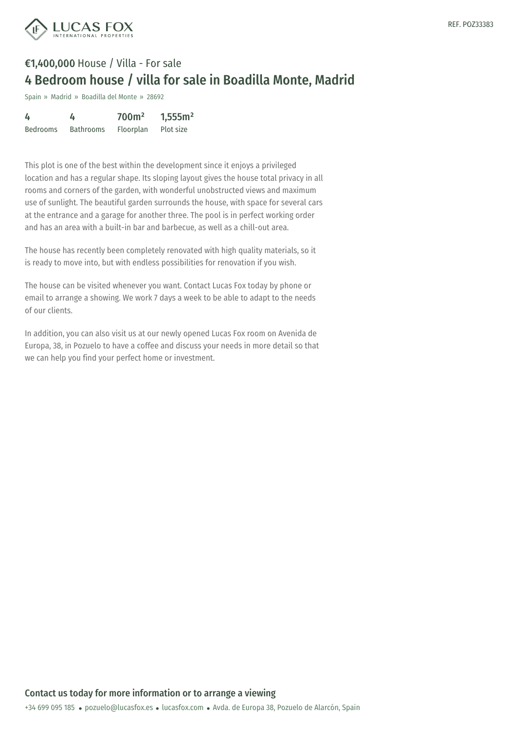



Spain » Madrid » Boadilla del Monte » 28692

| 4               |                  | 700m <sup>2</sup> | 1,555m <sup>2</sup> |
|-----------------|------------------|-------------------|---------------------|
| <b>Bedrooms</b> | <b>Bathrooms</b> | Floorplan         | Plot size           |

This plot is one of the best within the development since it enjoys a privileged location and has a regular shape. Its sloping layout gives the house total privacy in all rooms and corners of the garden, with wonderful unobstructed views and maximum use of sunlight. The beautiful garden surrounds the house, with space for several cars at the entrance and a garage for another three. The pool is in perfect working order and has an area with a built-in bar and barbecue, as well as a chill-out area.

The house has recently been completely renovated with high quality materials, so it is ready to move into, but with endless possibilities for renovation if you wish.

The house can be visited whenever you want. Contact Lucas Fox today by phone or email to arrange a showing. We work 7 days a week to be able to adapt to the needs of our clients.

In addition, you can also visit us at our newly opened Lucas Fox room on Avenida de Europa, 38, in Pozuelo to have a coffee and discuss your needs in more detail so that we can help you find your perfect home or investment.